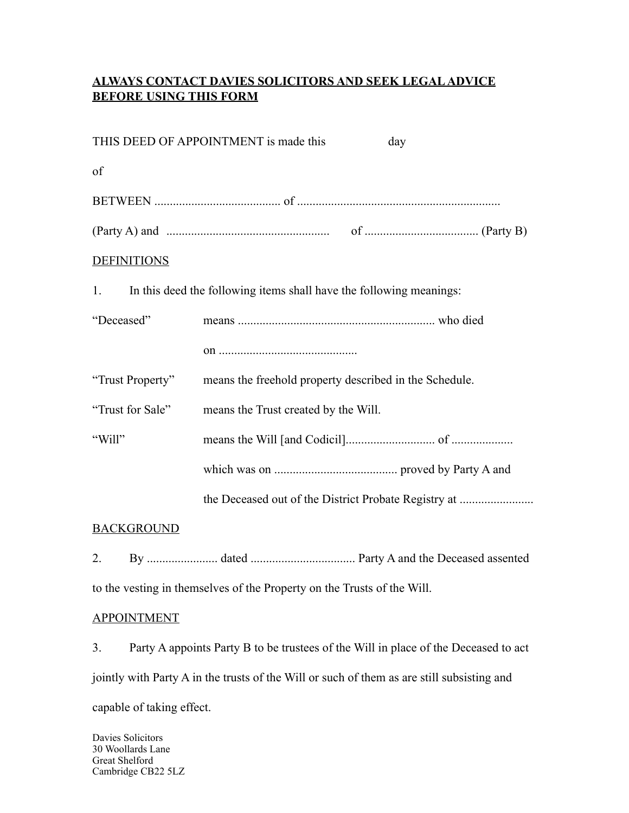## **ALWAYS CONTACT DAVIES SOLICITORS AND SEEK LEGAL ADVICE BEFORE USING THIS FORM**

|                    | THIS DEED OF APPOINTMENT is made this<br>day                        |
|--------------------|---------------------------------------------------------------------|
| of                 |                                                                     |
|                    |                                                                     |
|                    | $(Party A)$ and $\ldots$ $(Party B)$                                |
| <b>DEFINITIONS</b> |                                                                     |
| 1.                 | In this deed the following items shall have the following meanings: |
| "Deceased"         |                                                                     |
|                    |                                                                     |
| "Trust Property"   | means the freehold property described in the Schedule.              |
| "Trust for Sale"   | means the Trust created by the Will.                                |
| "Will"             |                                                                     |
|                    |                                                                     |
|                    | the Deceased out of the District Probate Registry at                |
| <b>BACKGROUND</b>  |                                                                     |

#### **BACKGROUND**

2. By ....................... dated .................................. Party A and the Deceased assented to the vesting in themselves of the Property on the Trusts of the Will.

#### APPOINTMENT

3. Party A appoints Party B to be trustees of the Will in place of the Deceased to act jointly with Party A in the trusts of the Will or such of them as are still subsisting and capable of taking effect.

Davies Solicitors 30 Woollards Lane Great Shelford Cambridge CB22 5LZ